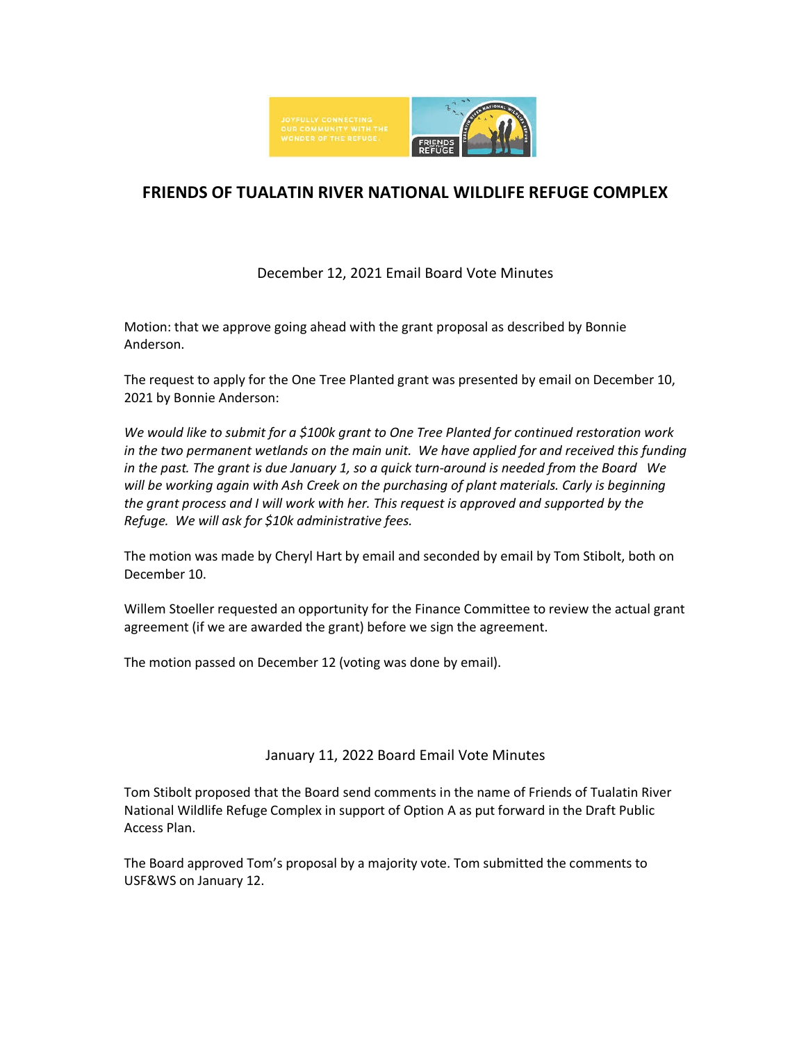

# **FRIENDS OF TUALATIN RIVER NATIONAL WILDLIFE REFUGE COMPLEX**

# December 12, 2021 Email Board Vote Minutes

Motion: that we approve going ahead with the grant proposal as described by Bonnie Anderson.

The request to apply for the One Tree Planted grant was presented by email on December 10, 2021 by Bonnie Anderson:

*We would like to submit for a \$100k grant to One Tree Planted for continued restoration work in the two permanent wetlands on the main unit. We have applied for and received this funding in the past. The grant is due January 1, so a quick turn-around is needed from the Board We will be working again with Ash Creek on the purchasing of plant materials. Carly is beginning the grant process and I will work with her. This request is approved and supported by the Refuge. We will ask for \$10k administrative fees.*

The motion was made by Cheryl Hart by email and seconded by email by Tom Stibolt, both on December 10.

Willem Stoeller requested an opportunity for the Finance Committee to review the actual grant agreement (if we are awarded the grant) before we sign the agreement.

The motion passed on December 12 (voting was done by email).

# January 11, 2022 Board Email Vote Minutes

Tom Stibolt proposed that the Board send comments in the name of Friends of Tualatin River National Wildlife Refuge Complex in support of Option A as put forward in the Draft Public Access Plan.

The Board approved Tom's proposal by a majority vote. Tom submitted the comments to USF&WS on January 12.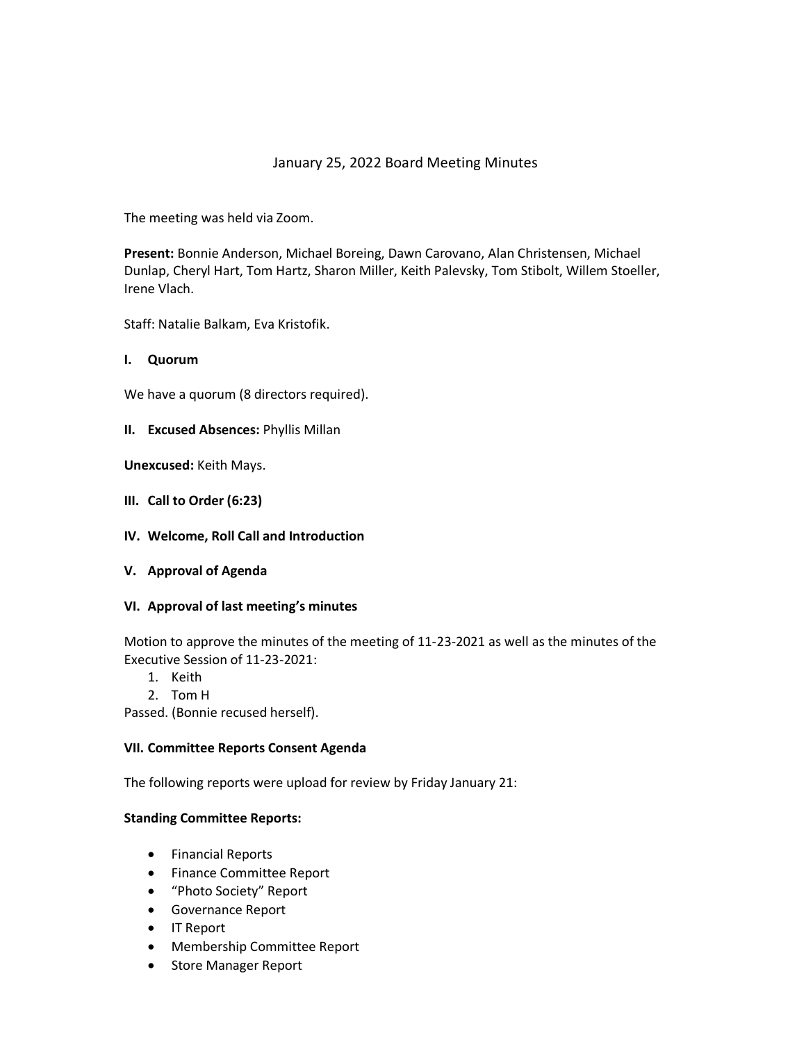# January 25, 2022 Board Meeting Minutes

The meeting was held via Zoom.

**Present:** Bonnie Anderson, Michael Boreing, Dawn Carovano, Alan Christensen, Michael Dunlap, Cheryl Hart, Tom Hartz, Sharon Miller, Keith Palevsky, Tom Stibolt, Willem Stoeller, Irene Vlach.

Staff: Natalie Balkam, Eva Kristofik.

#### **I. Quorum**

We have a quorum (8 directors required).

#### **II. Excused Absences:** Phyllis Millan

**Unexcused:** Keith Mays.

- **III. Call to Order (6:23)**
- **IV. Welcome, Roll Call and Introduction**
- **V. Approval of Agenda**

#### **VI. Approval of last meeting's minutes**

Motion to approve the minutes of the meeting of 11-23-2021 as well as the minutes of the Executive Session of 11-23-2021:

- 1. Keith
- 2. Tom H

Passed. (Bonnie recused herself).

#### **VII. Committee Reports Consent Agenda**

The following reports were upload for review by Friday January 21:

#### **Standing Committee Reports:**

- Financial Reports
- Finance Committee Report
- "Photo Society" Report
- Governance Report
- IT Report
- Membership Committee Report
- Store Manager Report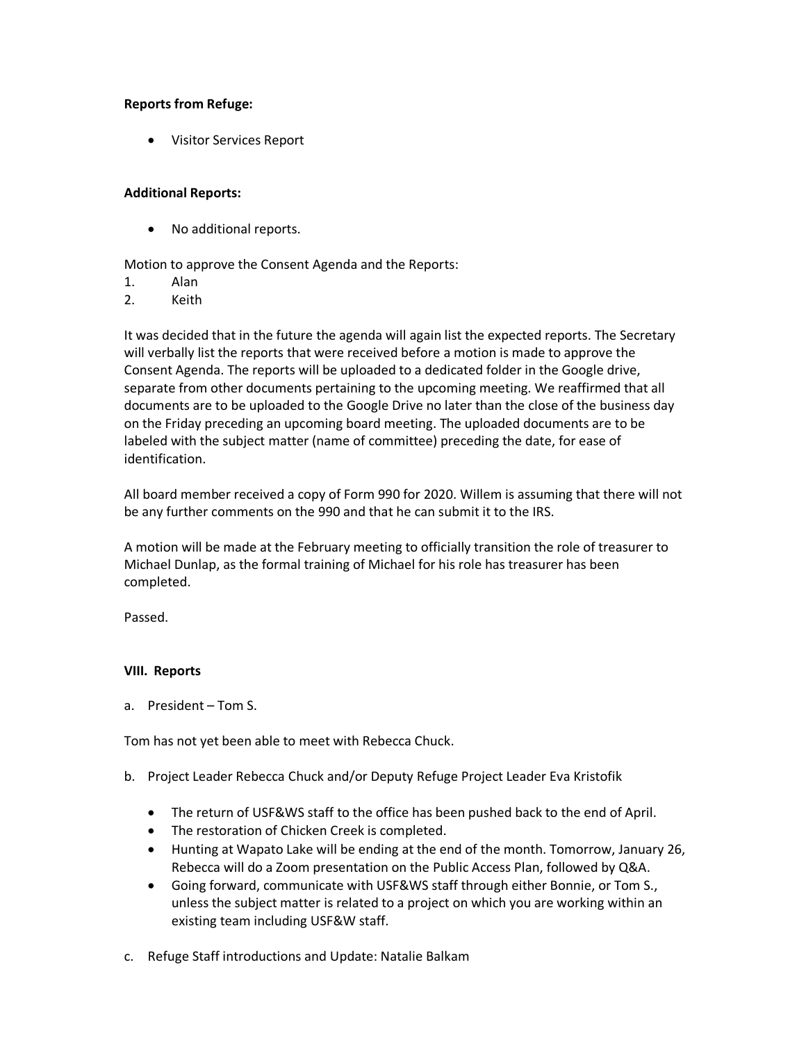# **Reports from Refuge:**

• Visitor Services Report

#### **Additional Reports:**

• No additional reports.

Motion to approve the Consent Agenda and the Reports:

- 1. Alan
- 2. Keith

It was decided that in the future the agenda will again list the expected reports. The Secretary will verbally list the reports that were received before a motion is made to approve the Consent Agenda. The reports will be uploaded to a dedicated folder in the Google drive, separate from other documents pertaining to the upcoming meeting. We reaffirmed that all documents are to be uploaded to the Google Drive no later than the close of the business day on the Friday preceding an upcoming board meeting. The uploaded documents are to be labeled with the subject matter (name of committee) preceding the date, for ease of identification.

All board member received a copy of Form 990 for 2020. Willem is assuming that there will not be any further comments on the 990 and that he can submit it to the IRS.

A motion will be made at the February meeting to officially transition the role of treasurer to Michael Dunlap, as the formal training of Michael for his role has treasurer has been completed.

Passed.

# **VIII. Reports**

a. President – Tom S.

Tom has not yet been able to meet with Rebecca Chuck.

- b. Project Leader Rebecca Chuck and/or Deputy Refuge Project Leader Eva Kristofik
	- The return of USF&WS staff to the office has been pushed back to the end of April.
	- The restoration of Chicken Creek is completed.
	- Hunting at Wapato Lake will be ending at the end of the month. Tomorrow, January 26, Rebecca will do a Zoom presentation on the Public Access Plan, followed by Q&A.
	- Going forward, communicate with USF&WS staff through either Bonnie, or Tom S., unless the subject matter is related to a project on which you are working within an existing team including USF&W staff.
- c. Refuge Staff introductions and Update: Natalie Balkam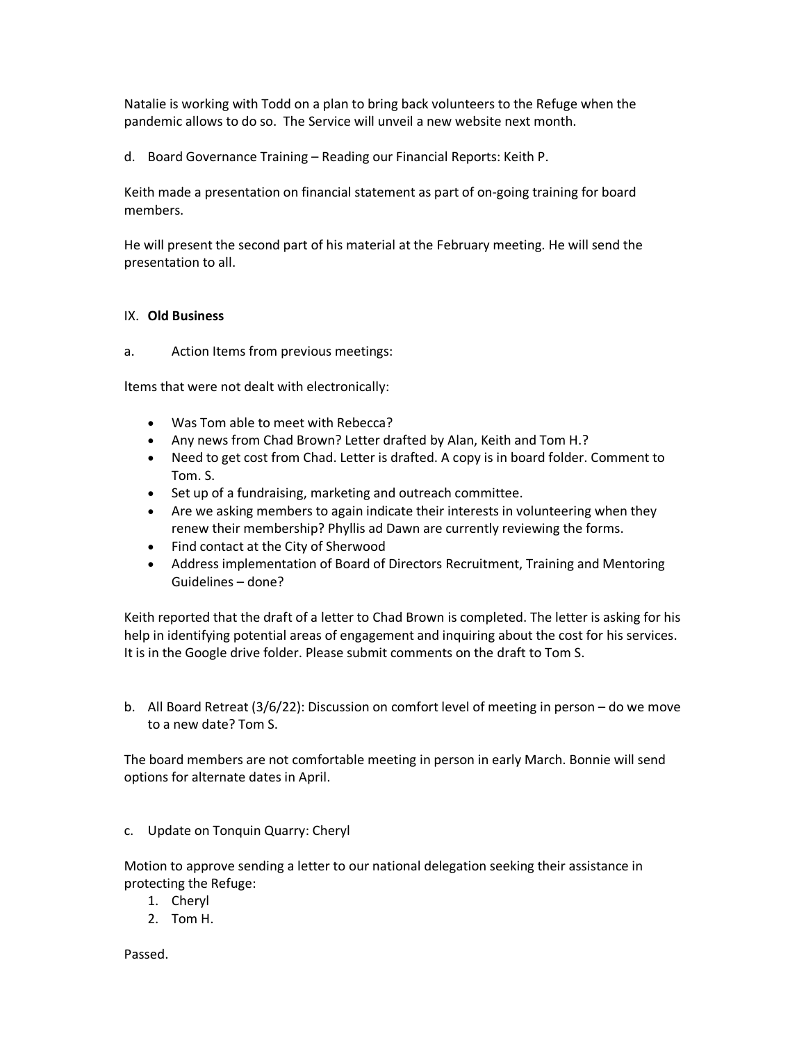Natalie is working with Todd on a plan to bring back volunteers to the Refuge when the pandemic allows to do so. The Service will unveil a new website next month.

d. Board Governance Training – Reading our Financial Reports: Keith P.

Keith made a presentation on financial statement as part of on-going training for board members.

He will present the second part of his material at the February meeting. He will send the presentation to all.

# IX. **Old Business**

a. Action Items from previous meetings:

Items that were not dealt with electronically:

- Was Tom able to meet with Rebecca?
- Any news from Chad Brown? Letter drafted by Alan, Keith and Tom H.?
- Need to get cost from Chad. Letter is drafted. A copy is in board folder. Comment to Tom. S.
- Set up of a fundraising, marketing and outreach committee.
- Are we asking members to again indicate their interests in volunteering when they renew their membership? Phyllis ad Dawn are currently reviewing the forms.
- Find contact at the City of Sherwood
- Address implementation of Board of Directors Recruitment, Training and Mentoring Guidelines – done?

Keith reported that the draft of a letter to Chad Brown is completed. The letter is asking for his help in identifying potential areas of engagement and inquiring about the cost for his services. It is in the Google drive folder. Please submit comments on the draft to Tom S.

b. All Board Retreat (3/6/22): Discussion on comfort level of meeting in person – do we move to a new date? Tom S.

The board members are not comfortable meeting in person in early March. Bonnie will send options for alternate dates in April.

c. Update on Tonquin Quarry: Cheryl

Motion to approve sending a letter to our national delegation seeking their assistance in protecting the Refuge:

- 1. Cheryl
- 2. Tom H.

Passed.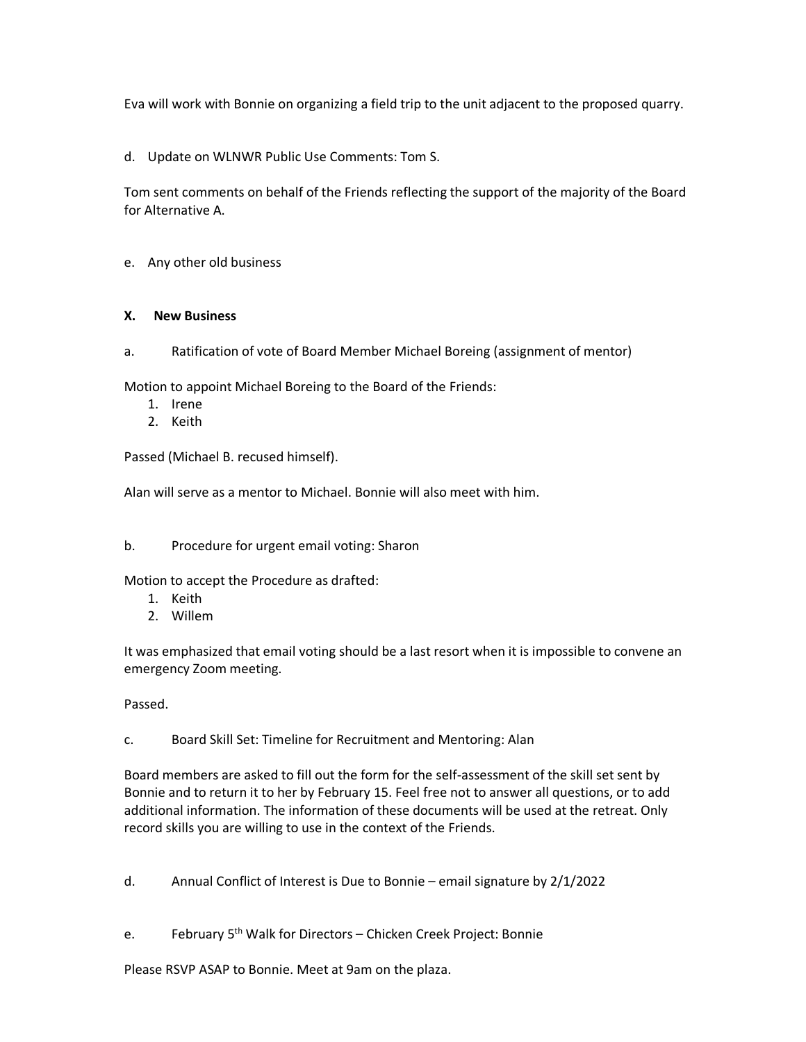Eva will work with Bonnie on organizing a field trip to the unit adjacent to the proposed quarry.

d. Update on WLNWR Public Use Comments: Tom S.

Tom sent comments on behalf of the Friends reflecting the support of the majority of the Board for Alternative A.

e. Any other old business

# **X. New Business**

a. Ratification of vote of Board Member Michael Boreing (assignment of mentor)

Motion to appoint Michael Boreing to the Board of the Friends:

- 1. Irene
- 2. Keith

Passed (Michael B. recused himself).

Alan will serve as a mentor to Michael. Bonnie will also meet with him.

# b. Procedure for urgent email voting: Sharon

Motion to accept the Procedure as drafted:

- 1. Keith
- 2. Willem

It was emphasized that email voting should be a last resort when it is impossible to convene an emergency Zoom meeting.

Passed.

c. Board Skill Set: Timeline for Recruitment and Mentoring: Alan

Board members are asked to fill out the form for the self-assessment of the skill set sent by Bonnie and to return it to her by February 15. Feel free not to answer all questions, or to add additional information. The information of these documents will be used at the retreat. Only record skills you are willing to use in the context of the Friends.

d. Annual Conflict of Interest is Due to Bonnie – email signature by 2/1/2022

e. February 5<sup>th</sup> Walk for Directors – Chicken Creek Project: Bonnie

Please RSVP ASAP to Bonnie. Meet at 9am on the plaza.